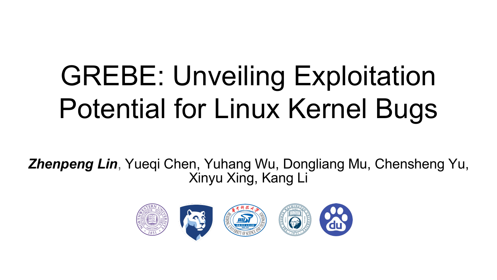# GREBE: Unveiling Exploitation Potential for Linux Kernel Bugs

*Zhenpeng Lin*, Yueqi Chen, Yuhang Wu, Dongliang Mu, Chensheng Yu, Xinyu Xing, Kang Li

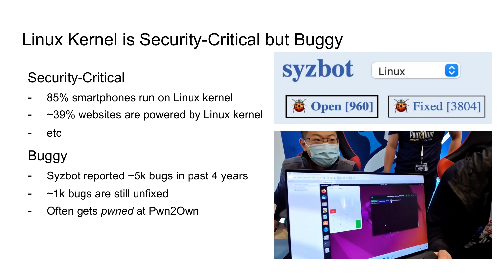# Linux Kernel is Security-Critical but Buggy

#### Security-Critical

- 85% smartphones run on Linux kernel
- $~1$   $~39\%$  websites are powered by Linux kernel
- etc

## Buggy

- Syzbot reported ~5k bugs in past 4 years
- $~\sim$ 1k bugs are still unfixed
- Often gets *pwned* at Pwn2Own



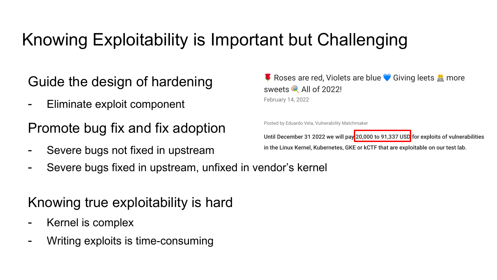# Knowing Exploitability is Important but Challenging

#### Guide the design of hardening

Eliminate exploit component

Promote bug fix and fix adoption

- Severe bugs not fixed in upstream
- Severe bugs fixed in upstream, unfixed in vendor's kernel

#### Knowing true exploitability is hard

- Kernel is complex
- Writing exploits is time-consuming

■ Roses are red, Violets are blue ● Giving leets ■ more sweets<sup>Q</sup> All of 2022! February 14, 2022

Posted by Eduardo Vela, Vulnerability Matchmaker

Until December 31 2022 we will pay 20,000 to 91,337 USD for exploits of vulnerabilities in the Linux Kernel, Kubernetes, GKE or kCTF that are exploitable on our test lab.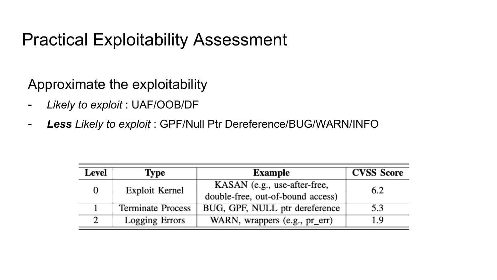## Practical Exploitability Assessment

Approximate the exploitability

- *Likely to exploit* : UAF/OOB/DF
- *Less Likely to exploit* : GPF/Null Ptr Dereference/BUG/WARN/INFO

| Level | Type                     | <b>Example</b>                    | <b>CVSS Score</b> |
|-------|--------------------------|-----------------------------------|-------------------|
|       | Exploit Kernel           | KASAN (e.g., use-after-free,      | 6.2               |
|       |                          | double-free, out-of-bound access) |                   |
|       | <b>Terminate Process</b> | BUG, GPF, NULL ptr dereference    | 5.3               |
|       | Logging Errors           | WARN, wrappers (e.g., pr_err)     | l.9               |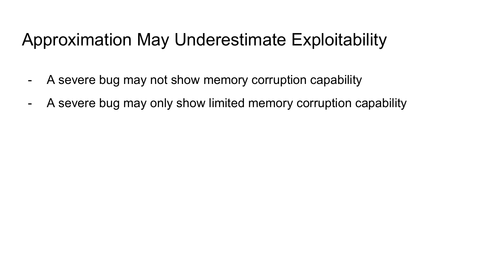# Approximation May Underestimate Exploitability

- A severe bug may not show memory corruption capability
- A severe bug may only show limited memory corruption capability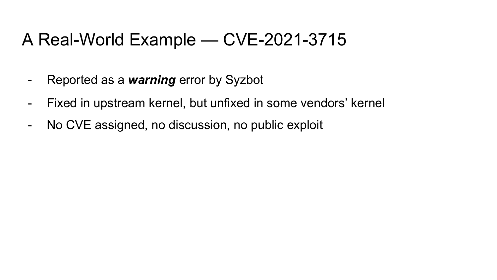## A Real-World Example — CVE-2021-3715

- Reported as a *warning* error by Syzbot
- Fixed in upstream kernel, but unfixed in some vendors' kernel
- No CVE assigned, no discussion, no public exploit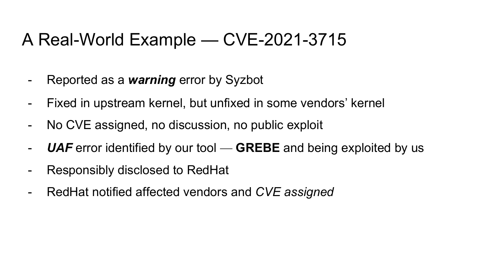## A Real-World Example — CVE-2021-3715

- Reported as a *warning* error by Syzbot
- Fixed in upstream kernel, but unfixed in some vendors' kernel
- No CVE assigned, no discussion, no public exploit
- *UAF* error identified by our tool **GREBE** and being exploited by us
- Responsibly disclosed to RedHat
- RedHat notified affected vendors and *CVE assigned*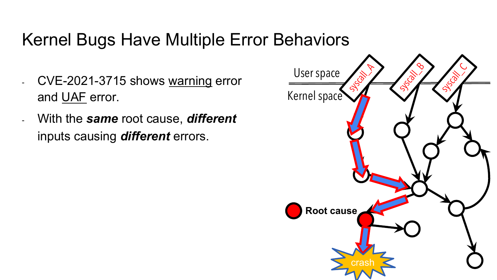## Kernel Bugs Have Multiple Error Behaviors

- CVE-2021-3715 shows warning error and UAF error.
- With the *same* root cause, *different* inputs causing *different* errors.

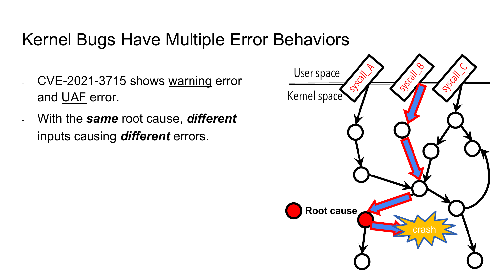## Kernel Bugs Have Multiple Error Behaviors

- CVE-2021-3715 shows warning error and UAF error.
- With the *same* root cause, *different* inputs causing *different* errors.

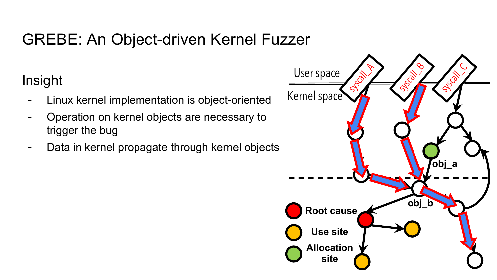## GREBE: An Object-driven Kernel Fuzzer

## Insight

- Linux kernel implementation is object-oriented
- Operation on kernel objects are necessary to trigger the bug
- Data in kernel propagate through kernel objects

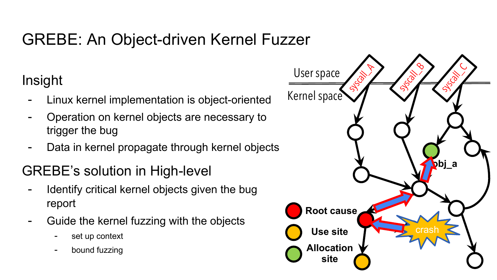## GREBE: An Object-driven Kernel Fuzzer

### Insight

- Linux kernel implementation is object-oriented
- Operation on kernel objects are necessary to trigger the bug
- Data in kernel propagate through kernel objects

#### GREBE's solution in High-level

- Identify critical kernel objects given the bug report
- Guide the kernel fuzzing with the objects
	- set up context
	- bound fuzzing

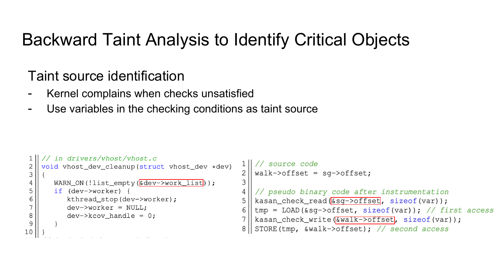## Backward Taint Analysis to Identify Critical Objects

#### Taint source identification

- Kernel complains when checks unsatisfied
- Use variables in the checking conditions as taint source

```
in drivers/vhost/vhost.c
                                                                     source code
    void vhost_dev_cleanup(struct vhost_dev *dev)
 \sqrt{2}\frac{2}{3}walk \rightarrow \text{offset} = \text{sq} \rightarrow \text{offset}3
        WARN_ON(!list_empty(Gdev->work_list));
 4
 5
        if (dev->worker) {
                                                              \overline{4}// pseudo binary code after instrumentation
 6
           kthread_stop(dev->worker);
                                                              5
                                                                 kasan_check_read(6sq->offset, sizeof(var));
 \overline{7}dev ->worker = NULL;
                                                              6
                                                                 tmp = LOAD(6sg->offset, sizeof(var)); // first access\,8\,dev ->kcov handle = 0;
                                                                 kasan_check_write([&walk->offset], sizeof(var));
                                                              7
 9
                                                                 STORE (tmp, \text{walk}\rightarrow\text{offset}); // second access
                                                              8
10
```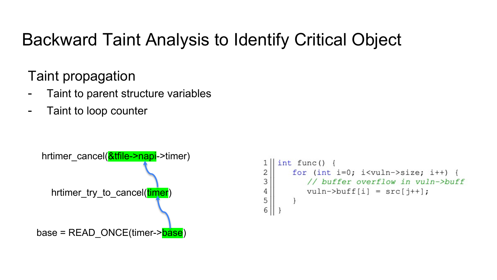# Backward Taint Analysis to Identify Critical Object

## Taint propagation

- Taint to parent structure variables
- Taint to loop counter

```
base = READ_ONCE(timer->base)
 hrtimer_cancel(&tfile->napi->timer)
   hrtimer try to cancel(timer)
```

```
int func()
\frac{2}{3}for (int i=0; i<vuln->size; i++) {
          // buffer overflow in vuln->buff
\frac{4}{5}vuln->buff[i] = src[j++];
6
```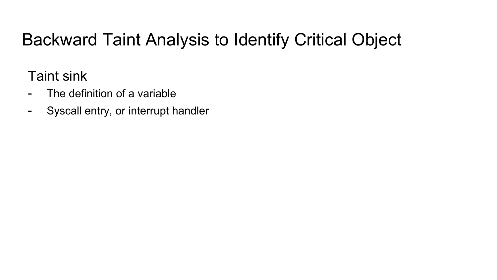# Backward Taint Analysis to Identify Critical Object

Taint sink

- The definition of a variable
- Syscall entry, or interrupt handler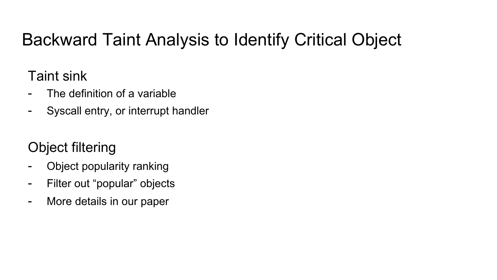# Backward Taint Analysis to Identify Critical Object

## Taint sink

- The definition of a variable
- Syscall entry, or interrupt handler

## Object filtering

- Object popularity ranking
- Filter out "popular" objects
- More details in our paper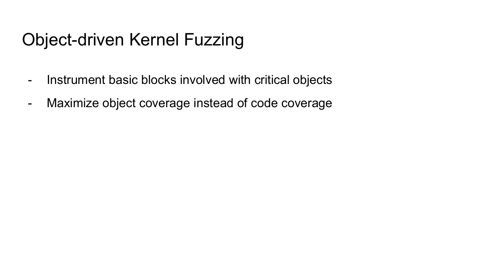# Object-driven Kernel Fuzzing

- Instrument basic blocks involved with critical objects
- Maximize object coverage instead of code coverage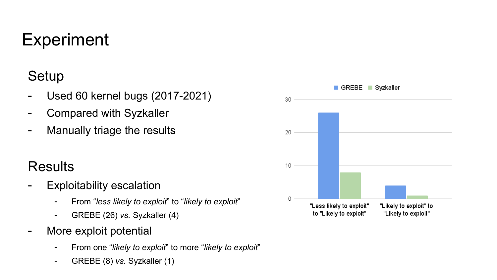# **Experiment**

## **Setup**

- Used 60 kernel bugs (2017-2021)
- Compared with Syzkaller
- Manually triage the results

#### Results

- Exploitability escalation
	- From "*less likely to exploit*" to "*likely to exploit*"
	- GREBE (26) *vs.* Syzkaller (4)
- More exploit potential
	- From one "*likely to exploit*" to more "*likely to exploit*"
	- GREBE (8) *vs.* Syzkaller (1)